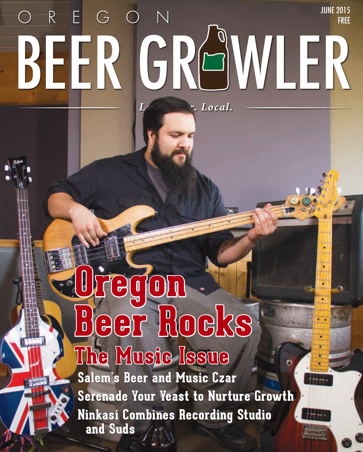## JUNE 2015  $R - E$ GON BEER GRAWLER Local.

# **Oregon Beer Rocks The Music Issue**

**Salem's Beer and Music Czar Serenade Your Yeast to Nurture Growth Ninkasi Combines Recording Studio and Suds**